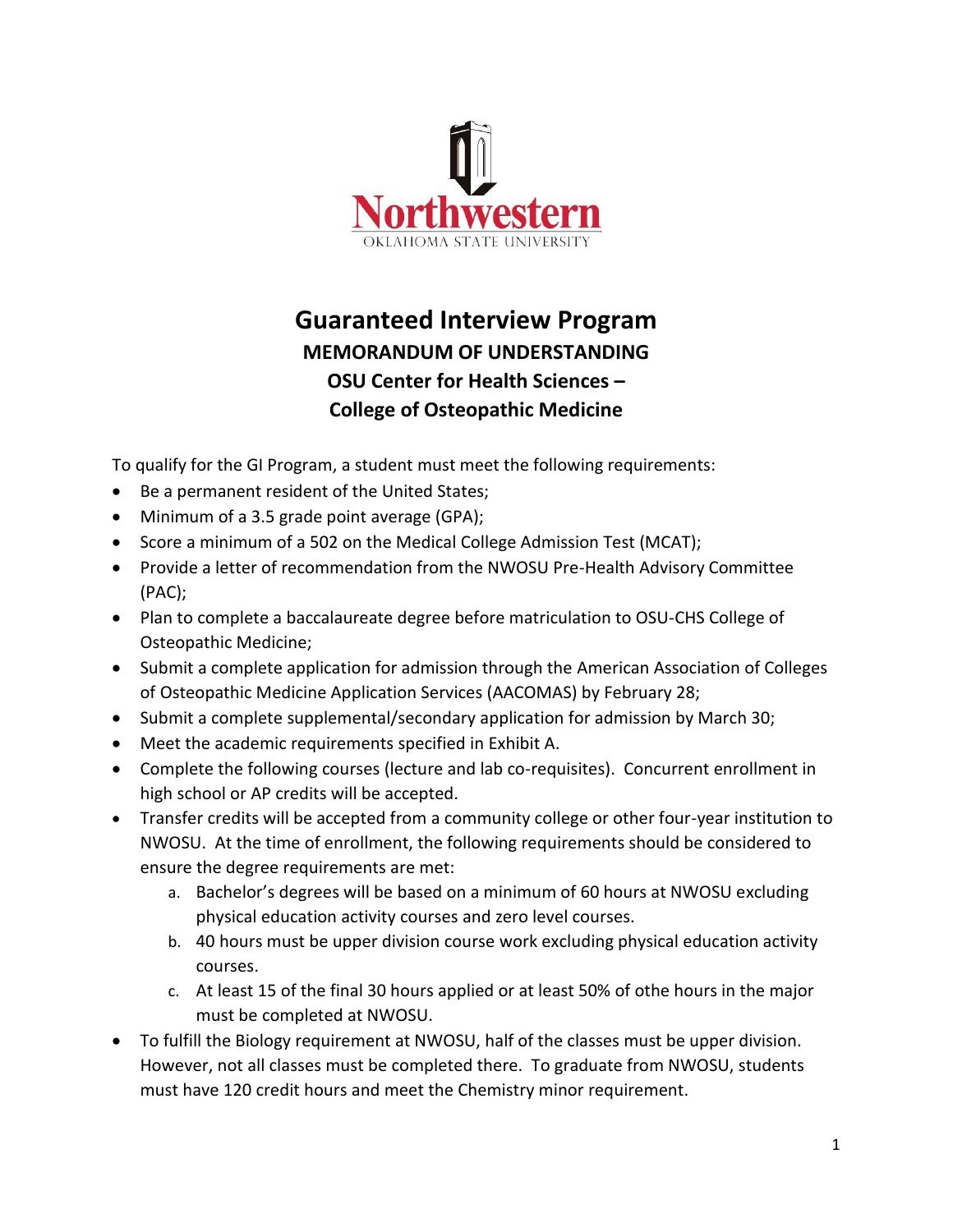

## **Guaranteed Interview Program MEMORANDUM OF UNDERSTANDING OSU Center for Health Sciences – College of Osteopathic Medicine**

To qualify for the GI Program, a student must meet the following requirements:

- Be a permanent resident of the United States;
- Minimum of a 3.5 grade point average (GPA);
- Score a minimum of a 502 on the Medical College Admission Test (MCAT);
- Provide a letter of recommendation from the NWOSU Pre-Health Advisory Committee (PAC);
- Plan to complete a baccalaureate degree before matriculation to OSU-CHS College of Osteopathic Medicine;
- Submit a complete application for admission through the American Association of Colleges of Osteopathic Medicine Application Services (AACOMAS) by February 28;
- Submit a complete supplemental/secondary application for admission by March 30;
- Meet the academic requirements specified in Exhibit A.
- Complete the following courses (lecture and lab co-requisites). Concurrent enrollment in high school or AP credits will be accepted.
- Transfer credits will be accepted from a community college or other four-year institution to NWOSU. At the time of enrollment, the following requirements should be considered to ensure the degree requirements are met:
	- a. Bachelor's degrees will be based on a minimum of 60 hours at NWOSU excluding physical education activity courses and zero level courses.
	- b. 40 hours must be upper division course work excluding physical education activity courses.
	- c. At least 15 of the final 30 hours applied or at least 50% of othe hours in the major must be completed at NWOSU.
- To fulfill the Biology requirement at NWOSU, half of the classes must be upper division. However, not all classes must be completed there. To graduate from NWOSU, students must have 120 credit hours and meet the Chemistry minor requirement.